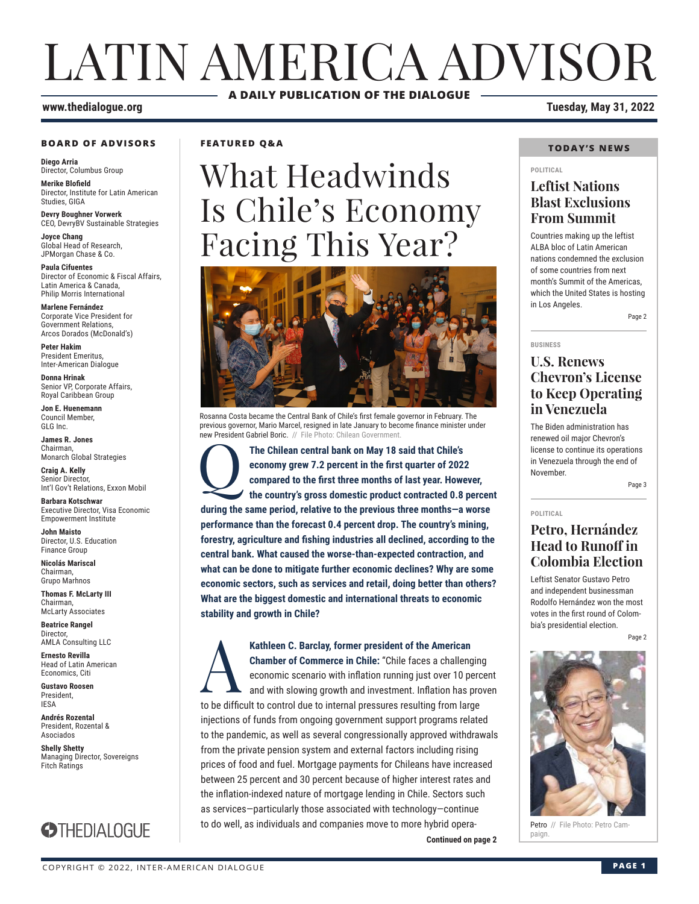# LATIN AMERICA ADVISOR **A DAILY PUBLICATION OF THE DIALOGUE**

#### **www.thedialogue.org Tuesday, May 31, 2022**

#### **BOARD OF ADVISORS**

**Diego Arria** Director, Columbus Group

**Merike Blofield** Director, Institute for Latin American Studies, GIGA

**Devry Boughner Vorwerk** CEO, DevryBV Sustainable Strategies

**Joyce Chang** Global Head of Research, JPMorgan Chase & Co.

**Paula Cifuentes** Director of Economic & Fiscal Affairs, Latin America & Canada, Philip Morris International

**Marlene Fernández** Corporate Vice President for Government Relations, Arcos Dorados (McDonald's)

**Peter Hakim** President Emeritus, Inter-American Dialogue

**Donna Hrinak** Senior VP, Corporate Affairs, Royal Caribbean Group

**Jon E. Huenemann** Council Member, GLG Inc.

**James R. Jones** Chairman, Monarch Global Strategies

**Craig A. Kelly** Senior Director, Int'l Gov't Relations, Exxon Mobil

**Barbara Kotschwar** Executive Director, Visa Economic Empowerment Institute

**John Maisto** Director, U.S. Education Finance Group

**Nicolás Mariscal** Chairman, Grupo Marhnos

**Thomas F. McLarty III** Chairman, McLarty Associates

**Beatrice Rangel**  Director, AMLA Consulting LLC

**Ernesto Revilla**  Head of Latin American Economics, Citi

**Gustavo Roosen** President, IESA

**Andrés Rozental**  President, Rozental & Asociados

**Shelly Shetty** Managing Director, Sovereigns Fitch Ratings



### **FEATURED Q&A**

# What Headwinds Is Chile's Economy Facing This Year?



Rosanna Costa became the Central Bank of Chile's first female governor in February. The previous governor, Mario Marcel, resigned in late January to become finance minister under new President Gabriel Boric. // File Photo: Chilean Government

The Chilean central bank on May 18 said that Chile's economy grew 7.2 percent in the first quarter of 2021 compared to the first three months of last year. However, the country's gross domestic product contracted 0.8 **economy grew 7.2 percent in the first quarter of 2022 compared to the first three months of last year. However, the country's gross domestic product contracted 0.8 percent during the same period, relative to the previous three months—a worse performance than the forecast 0.4 percent drop. The country's mining, forestry, agriculture and fishing industries all declined, according to the central bank. What caused the worse-than-expected contraction, and what can be done to mitigate further economic declines? Why are some economic sectors, such as services and retail, doing better than others? What are the biggest domestic and international threats to economic stability and growth in Chile?**

**Continued on page 2** Paign **Kathleen C. Barclay, former president of the American Chamber of Commerce in Chile: "Chile faces a challeng economic scenario with inflation running just over 10 per and with slowing growth and investment. Inflation has p Chamber of Commerce in Chile:** "Chile faces a challenging economic scenario with inflation running just over 10 percent and with slowing growth and investment. Inflation has proven to be difficult to control due to internal pressures resulting from large injections of funds from ongoing government support programs related to the pandemic, as well as several congressionally approved withdrawals from the private pension system and external factors including rising prices of food and fuel. Mortgage payments for Chileans have increased between 25 percent and 30 percent because of higher interest rates and the inflation-indexed nature of mortgage lending in Chile. Sectors such as services—particularly those associated with technology—continue to do well, as individuals and companies move to more hybrid opera-

#### **TODAY'S NEWS**

#### **POLITICAL**

### **Leftist Nations Blast Exclusions From Summit**

Countries making up the leftist ALBA bloc of Latin American nations condemned the exclusion of some countries from next month's Summit of the Americas, which the United States is hosting in Los Angeles.

Page 2

#### **BUSINESS**

### **U.S. Renews Chevron's License to Keep Operating in Venezuela**

The Biden administration has renewed oil major Chevron's license to continue its operations in Venezuela through the end of November.

Page 3

#### **POLITICAL**

### **Petro, Hernández Head to Runoff in Colombia Election**

Leftist Senator Gustavo Petro and independent businessman Rodolfo Hernández won the most votes in the first round of Colombia's presidential election.

Page 2



Petro // File Photo: Petro Cam-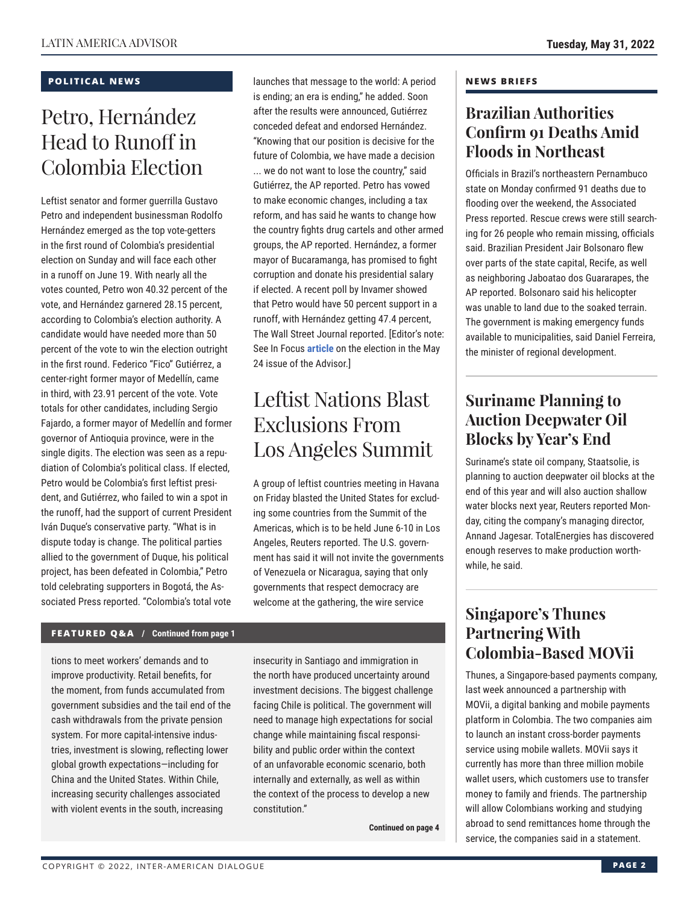### **POLITICAL NEWS**

# Petro, Hernández Head to Runoff in Colombia Election

Leftist senator and former guerrilla Gustavo Petro and independent businessman Rodolfo Hernández emerged as the top vote-getters in the first round of Colombia's presidential election on Sunday and will face each other in a runoff on June 19. With nearly all the votes counted, Petro won 40.32 percent of the vote, and Hernández garnered 28.15 percent, according to Colombia's election authority. A candidate would have needed more than 50 percent of the vote to win the election outright in the first round. Federico "Fico" Gutiérrez, a center-right former mayor of Medellín, came in third, with 23.91 percent of the vote. Vote totals for other candidates, including Sergio Fajardo, a former mayor of Medellín and former governor of Antioquia province, were in the single digits. The election was seen as a repudiation of Colombia's political class. If elected, Petro would be Colombia's first leftist president, and Gutiérrez, who failed to win a spot in the runoff, had the support of current President Iván Duque's conservative party. "What is in dispute today is change. The political parties allied to the government of Duque, his political project, has been defeated in Colombia," Petro told celebrating supporters in Bogotá, the Associated Press reported. "Colombia's total vote

launches that message to the world: A period is ending; an era is ending," he added. Soon after the results were announced, Gutiérrez conceded defeat and endorsed Hernández. "Knowing that our position is decisive for the future of Colombia, we have made a decision ... we do not want to lose the country," said Gutiérrez, the AP reported. Petro has vowed to make economic changes, including a tax reform, and has said he wants to change how the country fights drug cartels and other armed groups, the AP reported. Hernández, a former mayor of Bucaramanga, has promised to fight corruption and donate his presidential salary if elected. A recent poll by Invamer showed that Petro would have 50 percent support in a runoff, with Hernández getting 47.4 percent, The Wall Street Journal reported. [Editor's note: See In Focus **[article](https://www.thedialogue.org/analysis/petro-leads-polls-ahead-of-colombias-first-round-rivals-vie-for-spot-in-runoff/)** on the election in the May 24 issue of the Advisor.]

# Leftist Nations Blast Exclusions From Los Angeles Summit

A group of leftist countries meeting in Havana on Friday blasted the United States for excluding some countries from the Summit of the Americas, which is to be held June 6-10 in Los Angeles, Reuters reported. The U.S. government has said it will not invite the governments of Venezuela or Nicaragua, saying that only governments that respect democracy are welcome at the gathering, the wire service

### **FEATURED Q&A / Continued from page 1**

tions to meet workers' demands and to improve productivity. Retail benefits, for the moment, from funds accumulated from government subsidies and the tail end of the cash withdrawals from the private pension system. For more capital-intensive industries, investment is slowing, reflecting lower global growth expectations—including for China and the United States. Within Chile, increasing security challenges associated with violent events in the south, increasing

insecurity in Santiago and immigration in the north have produced uncertainty around investment decisions. The biggest challenge facing Chile is political. The government will need to manage high expectations for social change while maintaining fiscal responsibility and public order within the context of an unfavorable economic scenario, both internally and externally, as well as within the context of the process to develop a new constitution."

**Continued on page 4** 

#### **NEWS BRIEFS**

### **Brazilian Authorities Confirm 91 Deaths Amid Floods in Northeast**

Officials in Brazil's northeastern Pernambuco state on Monday confirmed 91 deaths due to flooding over the weekend, the Associated Press reported. Rescue crews were still searching for 26 people who remain missing, officials said. Brazilian President Jair Bolsonaro flew over parts of the state capital, Recife, as well as neighboring Jaboatao dos Guararapes, the AP reported. Bolsonaro said his helicopter was unable to land due to the soaked terrain. The government is making emergency funds available to municipalities, said Daniel Ferreira, the minister of regional development.

### **Suriname Planning to Auction Deepwater Oil Blocks by Year's End**

Suriname's state oil company, Staatsolie, is planning to auction deepwater oil blocks at the end of this year and will also auction shallow water blocks next year, Reuters reported Monday, citing the company's managing director, Annand Jagesar. TotalEnergies has discovered enough reserves to make production worthwhile, he said.

### **Singapore's Thunes Partnering With Colombia-Based MOVii**

Thunes, a Singapore-based payments company, last week announced a partnership with MOVii, a digital banking and mobile payments platform in Colombia. The two companies aim to launch an instant cross-border payments service using mobile wallets. MOVii says it currently has more than three million mobile wallet users, which customers use to transfer money to family and friends. The partnership will allow Colombians working and studying abroad to send remittances home through the service, the companies said in a statement.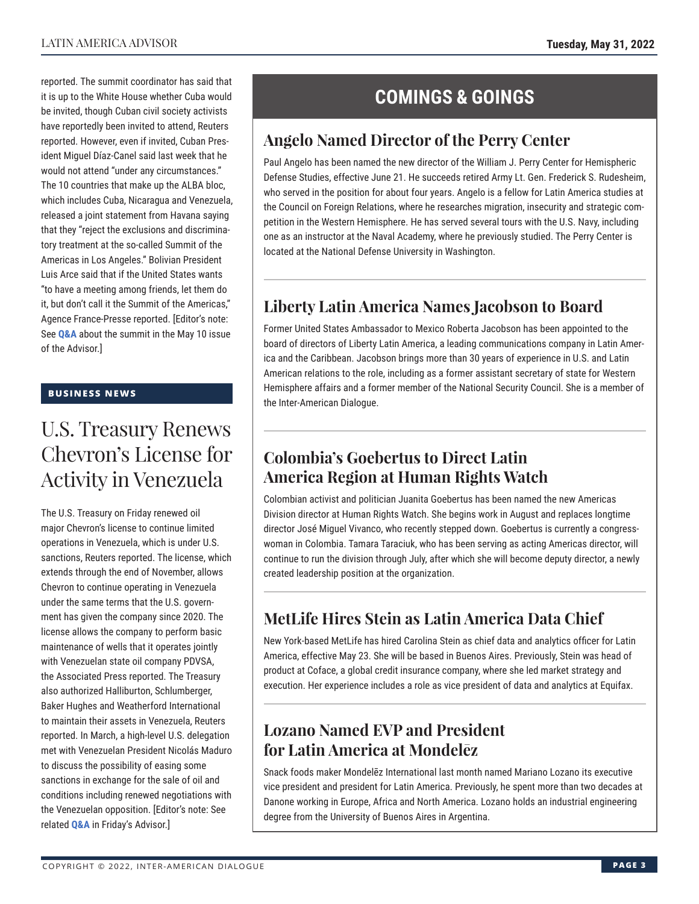reported. The summit coordinator has said that it is up to the White House whether Cuba would be invited, though Cuban civil society activists have reportedly been invited to attend, Reuters reported. However, even if invited, Cuban President Miguel Díaz-Canel said last week that he would not attend "under any circumstances." The 10 countries that make up the ALBA bloc, which includes Cuba, Nicaragua and Venezuela, released a joint statement from Havana saying that they "reject the exclusions and discriminatory treatment at the so-called Summit of the Americas in Los Angeles." Bolivian President Luis Arce said that if the United States wants "to have a meeting among friends, let them do it, but don't call it the Summit of the Americas," Agence France-Presse reported. [Editor's note: See **[Q&A](https://www.thedialogue.org/wp-content/uploads/2022/05/LAA220510.pdf)** about the summit in the May 10 issue of the Advisor.]

### **BUSINESS NEWS**

## U.S. Treasury Renews Chevron's License for Activity in Venezuela

The U.S. Treasury on Friday renewed oil major Chevron's license to continue limited operations in Venezuela, which is under U.S. sanctions, Reuters reported. The license, which extends through the end of November, allows Chevron to continue operating in Venezuela under the same terms that the U.S. government has given the company since 2020. The license allows the company to perform basic maintenance of wells that it operates jointly with Venezuelan state oil company PDVSA, the Associated Press reported. The Treasury also authorized Halliburton, Schlumberger, Baker Hughes and Weatherford International to maintain their assets in Venezuela, Reuters reported. In March, a high-level U.S. delegation met with Venezuelan President Nicolás Maduro to discuss the possibility of easing some sanctions in exchange for the sale of oil and conditions including renewed negotiations with the Venezuelan opposition. [Editor's note: See related **[Q&A](https://www.thedialogue.org/wp-content/uploads/2022/05/LAA220527.pdf)** in Friday's Advisor.]

### **COMINGS & GOINGS**

### **Angelo Named Director of the Perry Center**

Paul Angelo has been named the new director of the William J. Perry Center for Hemispheric Defense Studies, effective June 21. He succeeds retired Army Lt. Gen. Frederick S. Rudesheim, who served in the position for about four years. Angelo is a fellow for Latin America studies at the Council on Foreign Relations, where he researches migration, insecurity and strategic competition in the Western Hemisphere. He has served several tours with the U.S. Navy, including one as an instructor at the Naval Academy, where he previously studied. The Perry Center is located at the National Defense University in Washington.

### **Liberty Latin America Names Jacobson to Board**

Former United States Ambassador to Mexico Roberta Jacobson has been appointed to the board of directors of Liberty Latin America, a leading communications company in Latin America and the Caribbean. Jacobson brings more than 30 years of experience in U.S. and Latin American relations to the role, including as a former assistant secretary of state for Western Hemisphere affairs and a former member of the National Security Council. She is a member of the Inter-American Dialogue.

### **Colombia's Goebertus to Direct Latin America Region at Human Rights Watch**

Colombian activist and politician Juanita Goebertus has been named the new Americas Division director at Human Rights Watch. She begins work in August and replaces longtime director José Miguel Vivanco, who recently stepped down. Goebertus is currently a congresswoman in Colombia. Tamara Taraciuk, who has been serving as acting Americas director, will continue to run the division through July, after which she will become deputy director, a newly created leadership position at the organization.

### **MetLife Hires Stein as Latin America Data Chief**

New York-based MetLife has hired Carolina Stein as chief data and analytics officer for Latin America, effective May 23. She will be based in Buenos Aires. Previously, Stein was head of product at Coface, a global credit insurance company, where she led market strategy and execution. Her experience includes a role as vice president of data and analytics at Equifax.

### **Lozano Named EVP and President for Latin America at Mondelēz**

Snack foods maker Mondelēz International last month named Mariano Lozano its executive vice president and president for Latin America. Previously, he spent more than two decades at Danone working in Europe, Africa and North America. Lozano holds an industrial engineering degree from the University of Buenos Aires in Argentina.